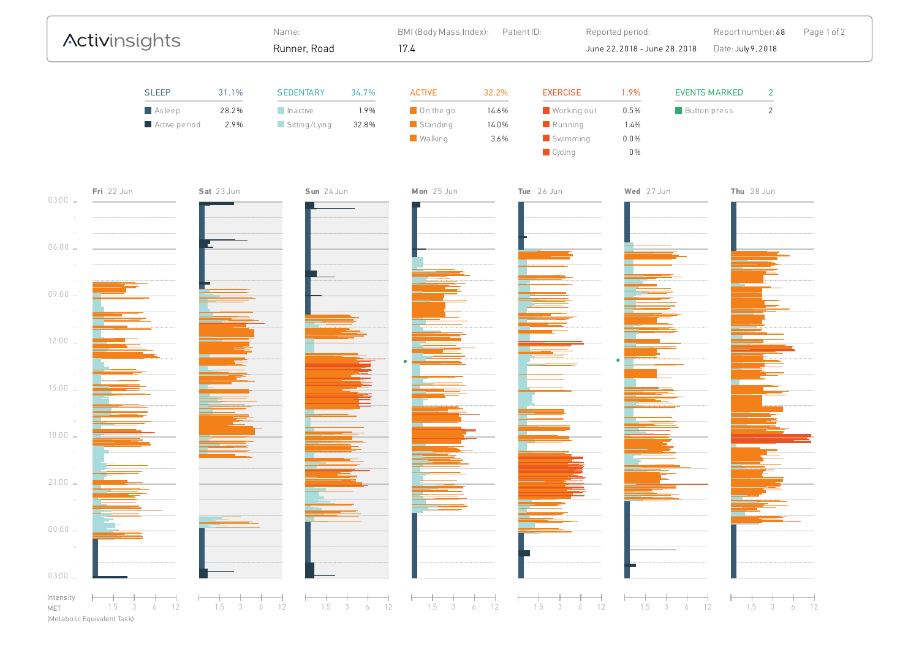